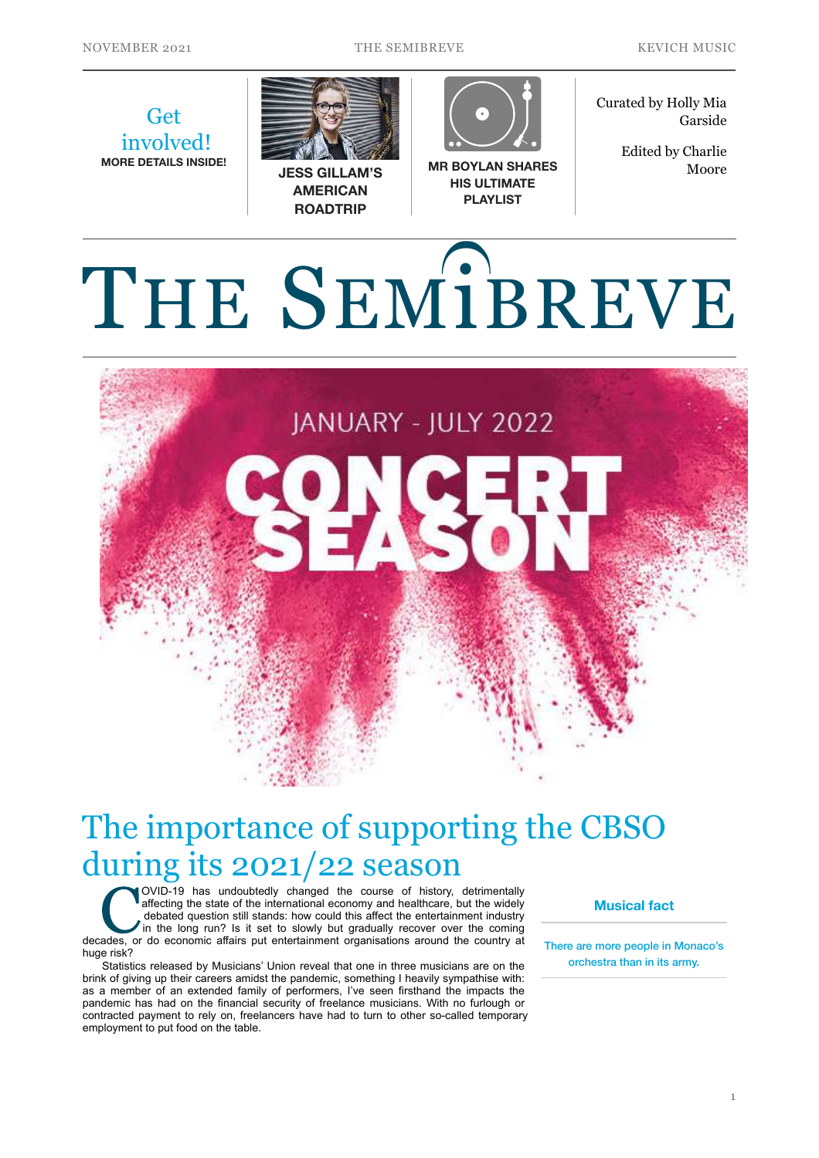NOVEMBER 2021 THE SEMIBREVE KEVICH MUSIC

**Get**  involved! **MORE DETAILS INSIDE!**



**JESS GILLAM'S AMERICAN ROADTRIP** 



**MR BOYLAN SHARES HIS ULTIMATE PLAYLIST**

Curated by Holly Mia Garside

> Edited by Charlie Moore

## THE SEMiBREVE  $\Omega$



## The importance of supporting the CBSO during its 2021/22 season

COVID-19 has undoubtedly changed the course of history, detrimentally affecting the state of the international economy and healthcare, but the widely debated question still stands: how could this affect the entertainment industry in the long run? Is it set to slowly but gradually recover over the coming decades, or do economic affairs put entertainment organisations around the country at huge risk?

Statistics released by Musicians' Union reveal that one in three musicians are on the brink of giving up their careers amidst the pandemic, something I heavily sympathise with: as a member of an extended family of performers, I've seen firsthand the impacts the pandemic has had on the financial security of freelance musicians. With no furlough or contracted payment to rely on, freelancers have had to turn to other so-called temporary employment to put food on the table.

**Musical fact** 

There are more people in Monaco's orchestra than in its army.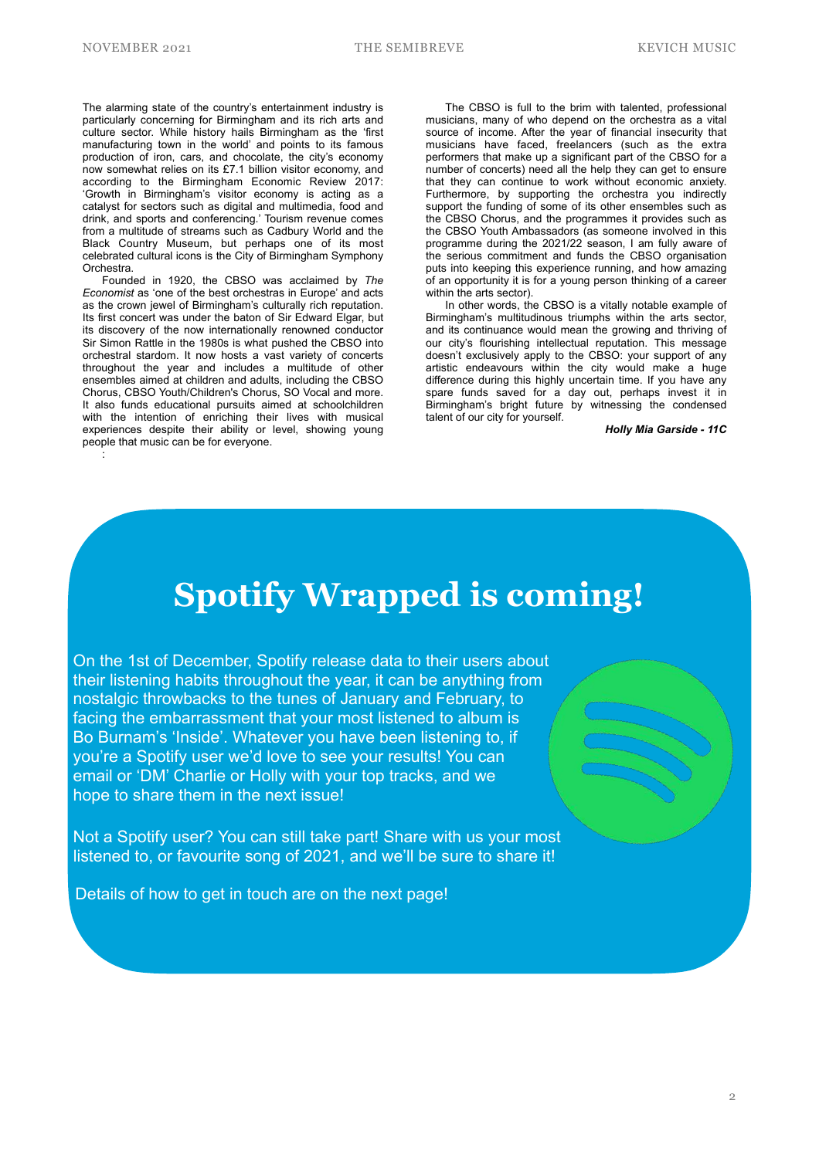NOVEMBER 2021 THE SEMIBREVE KEVICH MUSIC

The alarming state of the country's entertainment industry is particularly concerning for Birmingham and its rich arts and culture sector. While history hails Birmingham as the 'first manufacturing town in the world' and points to its famous production of iron, cars, and chocolate, the city's economy now somewhat relies on its £7.1 billion visitor economy, and according to the Birmingham Economic Review 2017: 'Growth in Birmingham's visitor economy is acting as a catalyst for sectors such as digital and multimedia, food and drink, and sports and conferencing.' Tourism revenue comes from a multitude of streams such as Cadbury World and the Black Country Museum, but perhaps one of its most celebrated cultural icons is the City of Birmingham Symphony **Orchestra** 

Founded in 1920, the CBSO was acclaimed by *The Economist* as 'one of the best orchestras in Europe' and acts as the crown jewel of Birmingham's culturally rich reputation. Its first concert was under the baton of Sir Edward Elgar, but its discovery of the now internationally renowned conductor Sir Simon Rattle in the 1980s is what pushed the CBSO into orchestral stardom. It now hosts a vast variety of concerts throughout the year and includes a multitude of other ensembles aimed at children and adults, including the CBSO Chorus, CBSO Youth/Children's Chorus, SO Vocal and more. It also funds educational pursuits aimed at schoolchildren with the intention of enriching their lives with musical experiences despite their ability or level, showing young people that music can be for everyone. :

The CBSO is full to the brim with talented, professional musicians, many of who depend on the orchestra as a vital source of income. After the year of financial insecurity that musicians have faced, freelancers (such as the extra performers that make up a significant part of the CBSO for a number of concerts) need all the help they can get to ensure that they can continue to work without economic anxiety. Furthermore, by supporting the orchestra you indirectly support the funding of some of its other ensembles such as the CBSO Chorus, and the programmes it provides such as the CBSO Youth Ambassadors (as someone involved in this programme during the 2021/22 season, I am fully aware of the serious commitment and funds the CBSO organisation puts into keeping this experience running, and how amazing of an opportunity it is for a young person thinking of a career within the arts sector).

In other words, the CBSO is a vitally notable example of Birmingham's multitudinous triumphs within the arts sector, and its continuance would mean the growing and thriving of our city's flourishing intellectual reputation. This message doesn't exclusively apply to the CBSO: your support of any artistic endeavours within the city would make a huge difference during this highly uncertain time. If you have any spare funds saved for a day out, perhaps invest it in Birmingham's bright future by witnessing the condensed talent of our city for yourself.

*Holly Mia Garside - 11C*

## **Spotify Wrapped is coming!**

On the 1st of December, Spotify release data to their users about their listening habits throughout the year, it can be anything from nostalgic throwbacks to the tunes of January and February, to facing the embarrassment that your most listened to album is Bo Burnam's 'Inside'. Whatever you have been listening to, if you're a Spotify user we'd love to see your results! You can email or 'DM' Charlie or Holly with your top tracks, and we hope to share them in the next issue!

Not a Spotify user? You can still take part! Share with us your most listened to, or favourite song of 2021, and we'll be sure to share it!

Details of how to get in touch are on the next page!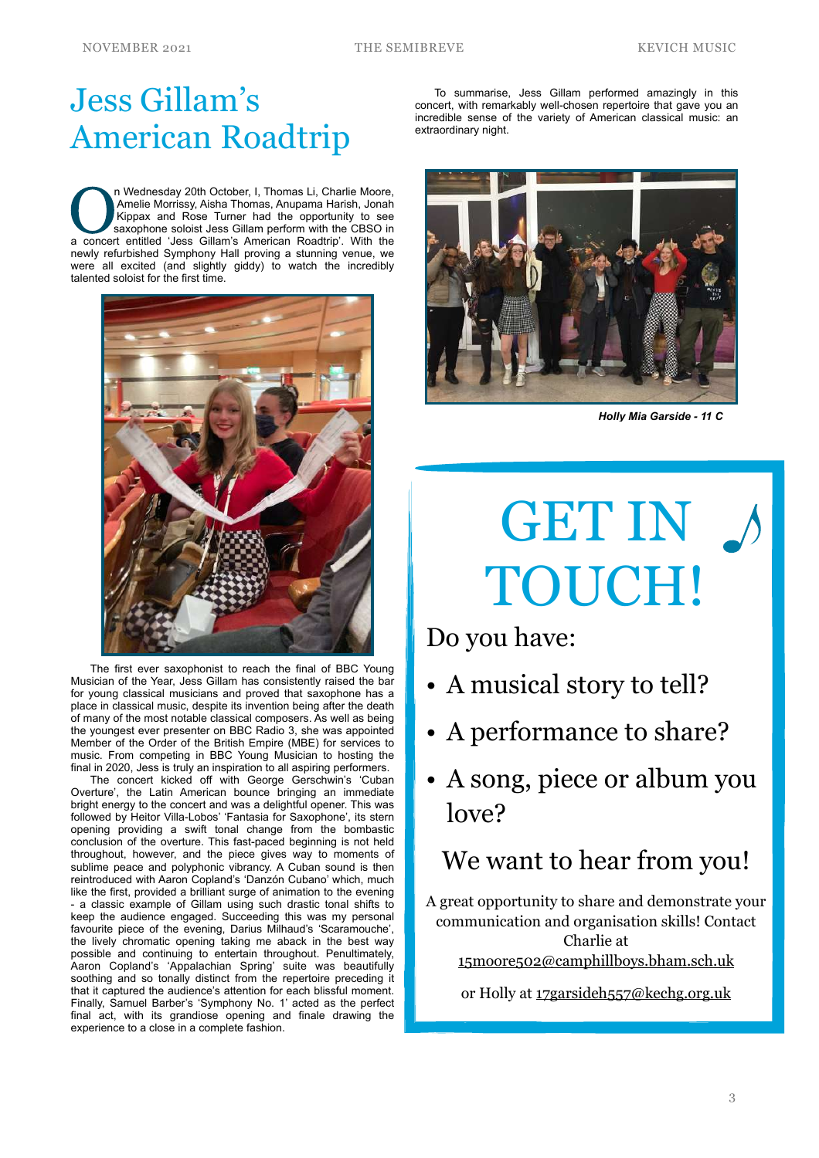## Jess Gillam's American Roadtrip

In Wednesday 20th October, I, Thomas Li, Charlie Moore, Amelie Morrissy, Aisha Thomas, Anupama Harish, Jonah Kippax and Rose Turner had the opportunity to see saxophone soloist Jess Gillam perform with the CBSO in a concer n Wednesday 20th October, I, Thomas Li, Charlie Moore,<br>Amelie Morrissy, Aisha Thomas, Anupama Harish, Jonah Kippax and Rose Turner had the opportunity to see a concert entitled 'Jess Gillam's American Roadtrip'. With the newly refurbished Symphony Hall proving a stunning venue, we were all excited (and slightly giddy) to watch the incredibly talented soloist for the first time.



The first ever saxophonist to reach the final of BBC Young Musician of the Year, Jess Gillam has consistently raised the bar for young classical musicians and proved that saxophone has a place in classical music, despite its invention being after the death of many of the most notable classical composers. As well as being the youngest ever presenter on BBC Radio 3, she was appointed Member of the Order of the British Empire (MBE) for services to music. From competing in BBC Young Musician to hosting the final in 2020, Jess is truly an inspiration to all aspiring performers.

The concert kicked off with George Gerschwin's 'Cuban Overture', the Latin American bounce bringing an immediate bright energy to the concert and was a delightful opener. This was followed by Heitor Villa-Lobos' 'Fantasia for Saxophone', its stern opening providing a swift tonal change from the bombastic conclusion of the overture. This fast-paced beginning is not held throughout, however, and the piece gives way to moments of sublime peace and polyphonic vibrancy. A Cuban sound is then reintroduced with Aaron Copland's 'Danzón Cubano' which, much like the first, provided a brilliant surge of animation to the evening - a classic example of Gillam using such drastic tonal shifts to keep the audience engaged. Succeeding this was my personal favourite piece of the evening, Darius Milhaud's 'Scaramouche', the lively chromatic opening taking me aback in the best way possible and continuing to entertain throughout. Penultimately, Aaron Copland's 'Appalachian Spring' suite was beautifully soothing and so tonally distinct from the repertoire preceding it that it captured the audience's attention for each blissful moment. Finally, Samuel Barber's 'Symphony No. 1' acted as the perfect final act, with its grandiose opening and finale drawing the experience to a close in a complete fashion.

To summarise, Jess Gillam performed amazingly in this concert, with remarkably well-chosen repertoire that gave you an incredible sense of the variety of American classical music: an extraordinary night.



*Holly Mia Garside - 11 C*

# GET IN A TOUCH!

Do you have:

- A musical story to tell?
- A performance to share?
- A song, piece or album you love?

### We want to hear from you!

A great opportunity to share and demonstrate your communication and organisation skills! Contact Charlie at [15moore502@camphillboys.bham.sch.uk](mailto:15moore502@camphillboys.bham.sch.uk)

or Holly at [17garsideh557@kechg.org.uk](mailto:17garsideh557@kechg.org.uk)